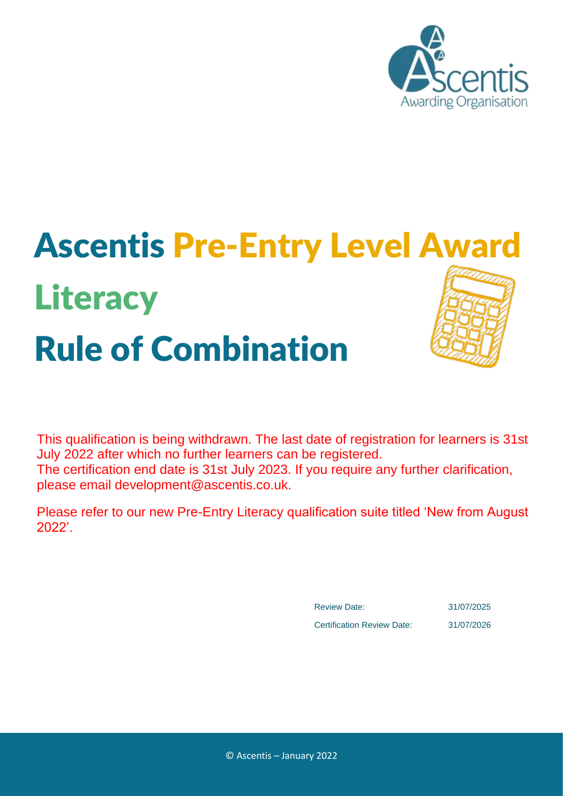

# Ascentis Pre-Entry Level Award **Literacy** Rule of Combination

This qualification is being withdrawn. The last date of registration for learners is 31st July 2022 after which no further learners can be registered. The certification end date is 31st July 2023. If you require any further clarification, please email development@ascentis.co.uk.

Please refer to our new Pre-Entry Literacy qualification suite titled 'New from August 2022'.

> Review Date: 31/07/2025 Certification Review Date: 31/07/2026

© Ascentis – January 2022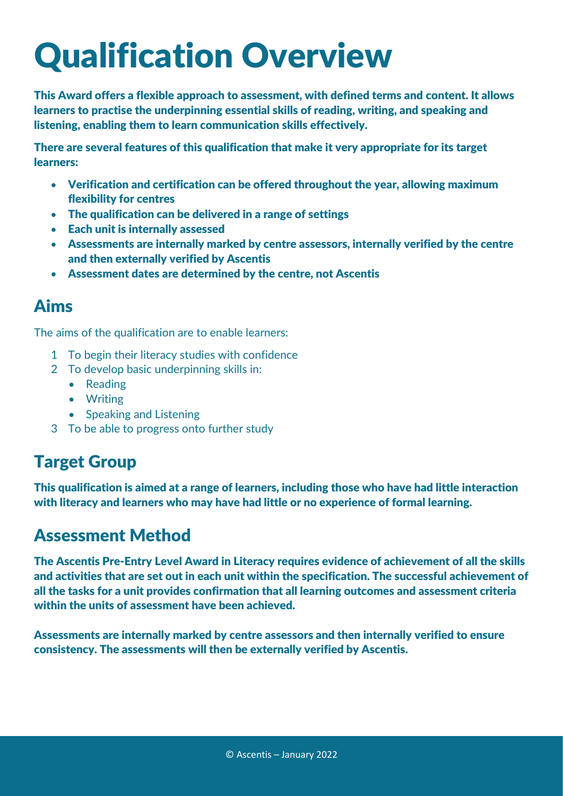## Qualification Overview

This Award offers a flexible approach to assessment, with defined terms and content. It allows learners to practise the underpinning essential skills of reading, writing, and speaking and listening, enabling them to learn communication skills effectively.

There are several features of this qualification that make it very appropriate for its target learners:

- Verification and certification can be offered throughout the year, allowing maximum flexibility for centres
- The qualification can be delivered in a range of settings
- Each unit is internally assessed
- Assessments are internally marked by centre assessors, internally verified by the centre and then externally verified by Ascentis
- Assessment dates are determined by the centre, not Ascentis

### Aims

The aims of the qualification are to enable learners:

- 1 To begin their literacy studies with confidence
- 2 To develop basic underpinning skills in:
	- Reading
	- Writing
	- Speaking and Listening
- 3 To be able to progress onto further study

### Target Group

This qualification is aimed at a range of learners, including those who have had little interaction with literacy and learners who may have had little or no experience of formal learning.

### Assessment Method

The Ascentis Pre-Entry Level Award in Literacy requires evidence of achievement of all the skills and activities that are set out in each unit within the specification. The successful achievement of all the tasks for a unit provides confirmation that all learning outcomes and assessment criteria within the units of assessment have been achieved.

Assessments are internally marked by centre assessors and then internally verified to ensure consistency. The assessments will then be externally verified by Ascentis.